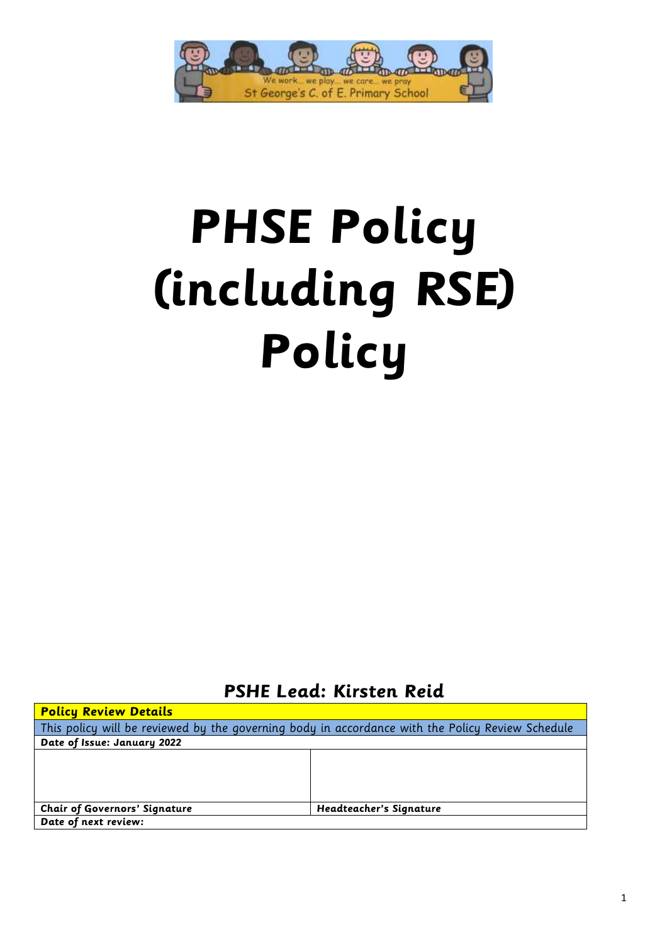

# **PHSE Policy (including RSE) Policy**

**PSHE Lead: Kirsten Reid**

| <b>Policy Review Details</b>                                                                     |                         |  |  |  |  |
|--------------------------------------------------------------------------------------------------|-------------------------|--|--|--|--|
| This policy will be reviewed by the governing body in accordance with the Policy Review Schedule |                         |  |  |  |  |
| Date of Issue: January 2022                                                                      |                         |  |  |  |  |
|                                                                                                  |                         |  |  |  |  |
|                                                                                                  |                         |  |  |  |  |
|                                                                                                  |                         |  |  |  |  |
|                                                                                                  |                         |  |  |  |  |
| <b>Chair of Governors' Signature</b>                                                             | Headteacher's Signature |  |  |  |  |
| Date of next review:                                                                             |                         |  |  |  |  |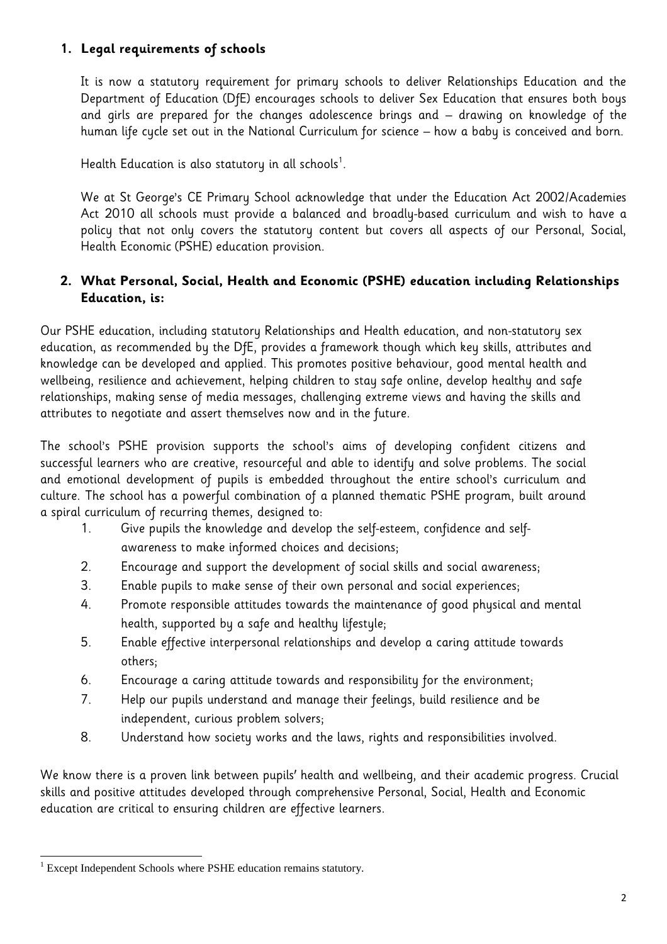## **1. Legal requirements of schools**

It is now a statutory requirement for primary schools to deliver Relationships Education and the Department of Education (DfE) encourages schools to deliver Sex Education that ensures both boys and girls are prepared for the changes adolescence brings and – drawing on knowledge of the human life cycle set out in the National Curriculum for science – how a baby is conceived and born.

Health Education is also statutory in all schools $^{\rm 1}.$ 

We at St George's CE Primary School acknowledge that under the Education Act 2002/Academies Act 2010 all schools must provide a balanced and broadly-based curriculum and wish to have a policy that not only covers the statutory content but covers all aspects of our Personal, Social, Health Economic (PSHE) education provision.

## **2. What Personal, Social, Health and Economic (PSHE) education including Relationships Education, is:**

Our PSHE education, including statutory Relationships and Health education, and non-statutory sex education, as recommended by the DfE, provides a framework though which key skills, attributes and knowledge can be developed and applied. This promotes positive behaviour, good mental health and wellbeing, resilience and achievement, helping children to stay safe online, develop healthy and safe relationships, making sense of media messages, challenging extreme views and having the skills and attributes to negotiate and assert themselves now and in the future.

The school's PSHE provision supports the school's aims of developing confident citizens and successful learners who are creative, resourceful and able to identify and solve problems. The social and emotional development of pupils is embedded throughout the entire school's curriculum and culture. The school has a powerful combination of a planned thematic PSHE program, built around a spiral curriculum of recurring themes, designed to:

- 1. Give pupils the knowledge and develop the self-esteem, confidence and selfawareness to make informed choices and decisions;
- 2. Encourage and support the development of social skills and social awareness;
- 3. Enable pupils to make sense of their own personal and social experiences;
- 4. Promote responsible attitudes towards the maintenance of good physical and mental health, supported by a safe and healthy lifestyle;
- 5. Enable effective interpersonal relationships and develop a caring attitude towards others;
- 6. Encourage a caring attitude towards and responsibility for the environment;
- 7. Help our pupils understand and manage their feelings, build resilience and be independent, curious problem solvers;
- 8. Understand how society works and the laws, rights and responsibilities involved.

We know there is a proven link between pupils' health and wellbeing, and their academic progress. Crucial skills and positive attitudes developed through comprehensive Personal, Social, Health and Economic education are critical to ensuring children are effective learners.

 $\overline{a}$ <sup>1</sup> Except Independent Schools where PSHE education remains statutory.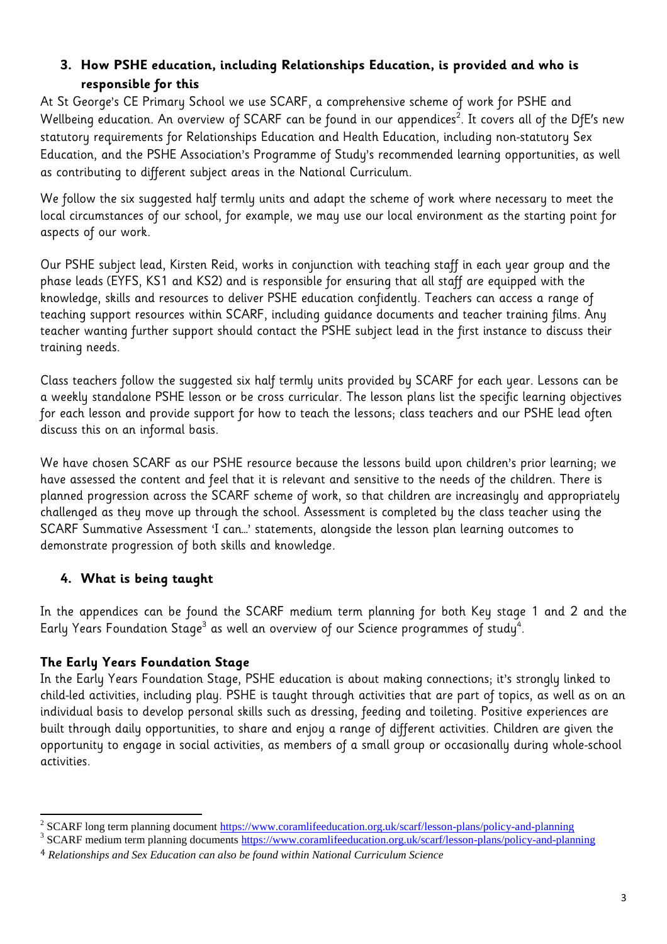# **3. How PSHE education, including Relationships Education, is provided and who is responsible for this**

At St George's CE Primary School we use SCARF, a comprehensive scheme of work for PSHE and Wellbeing education. An overview of SCARF can be found in our appendices $^{\text{2}}.$  It covers all of the DfE's new statutory requirements for Relationships Education and Health Education, including non-statutory Sex Education, and the PSHE Association's Programme of Study's recommended learning opportunities, as well as contributing to different subject areas in the [National Curriculum.](https://www.coramlifeeducation.org.uk/scarf/national-curriculum/)

We follow the six suggested half termly units and adapt the scheme of work where necessary to meet the local circumstances of our school, for example, we may use our local environment as the starting point for aspects of our work.

Our PSHE subject lead, Kirsten Reid, works in conjunction with teaching staff in each year group and the phase leads (EYFS, KS1 and KS2) and is responsible for ensuring that all staff are equipped with the knowledge, skills and resources to deliver PSHE education confidently. Teachers can access a range of teaching support resources within SCARF, including guidance documents and teacher training films. Any teacher wanting further support should contact the PSHE subject lead in the first instance to discuss their training needs.

Class teachers follow the suggested six half termly units provided by SCARF for each year. Lessons can be a weekly standalone PSHE lesson or be cross curricular. The lesson plans list the specific learning objectives for each lesson and provide support for how to teach the lessons; class teachers and our PSHE lead often discuss this on an informal basis.

We have chosen SCARF as our PSHE resource because the lessons build upon children's prior learning; we have assessed the content and feel that it is relevant and sensitive to the needs of the children. There is planned progression across the SCARF scheme of work, so that children are increasingly and appropriately challenged as they move up through the school. Assessment is completed by the class teacher using the SCARF Summative Assessment 'I can…' statements, alongside the lesson plan learning outcomes to demonstrate progression of both skills and knowledge.

# **4. What is being taught**

In the appendices can be found the SCARF medium term planning for both Key stage 1 and 2 and the Early Years Foundation Stage $^{\rm 3}$  as well an overview of our Science programmes of study $^{\rm 4}$ .

# **The Early Years Foundation Stage**

 $\overline{a}$ 

In the Early Years Foundation Stage, PSHE education is about making connections; it's strongly linked to child-led activities, including play. PSHE is taught through activities that are part of topics, as well as on an individual basis to develop personal skills such as dressing, feeding and toileting. Positive experiences are built through daily opportunities, to share and enjoy a range of different activities. Children are given the opportunity to engage in social activities, as members of a small group or occasionally during whole-school activities.

<sup>&</sup>lt;sup>2</sup> SCARF long term planning document<https://www.coramlifeeducation.org.uk/scarf/lesson-plans/policy-and-planning>

<sup>&</sup>lt;sup>3</sup> SCARF medium term planning documents<https://www.coramlifeeducation.org.uk/scarf/lesson-plans/policy-and-planning>

<sup>4</sup> *Relationships and Sex Education can also be found within National Curriculum Science*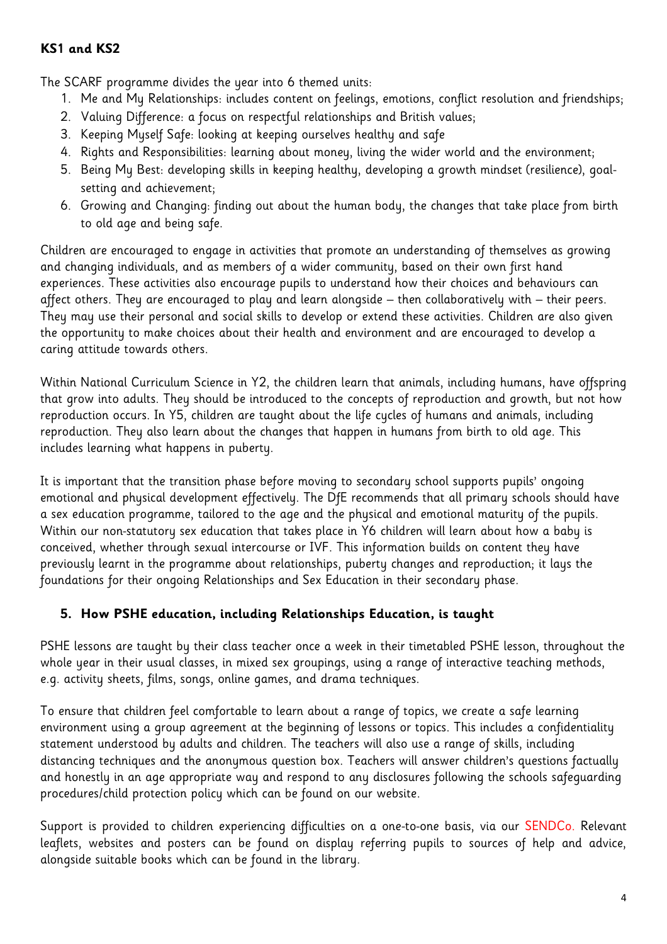## **KS1 and KS2**

The SCARF programme divides the year into 6 themed units:

- 1. Me and My Relationships: includes content on feelings, emotions, conflict resolution and friendships;
- 2. Valuing Difference: a focus on respectful relationships and British values;
- 3. Keeping Myself Safe: looking at keeping ourselves healthy and safe
- 4. Rights and Responsibilities: learning about money, living the wider world and the environment;
- 5. Being My Best: developing skills in keeping healthy, developing a growth mindset (resilience), goalsetting and achievement;
- 6. Growing and Changing: finding out about the human body, the changes that take place from birth to old age and being safe.

Children are encouraged to engage in activities that promote an understanding of themselves as growing and changing individuals, and as members of a wider community, based on their own first hand experiences. These activities also encourage pupils to understand how their choices and behaviours can affect others. They are encouraged to play and learn alongside – then collaboratively with – their peers. They may use their personal and social skills to develop or extend these activities. Children are also given the opportunity to make choices about their health and environment and are encouraged to develop a caring attitude towards others.

Within National Curriculum Science in Y2, the children learn that animals, including humans, have offspring that grow into adults. They should be introduced to the concepts of reproduction and growth, but not how reproduction occurs. In Y5, children are taught about the life cycles of humans and animals, including reproduction. They also learn about the changes that happen in humans from birth to old age. This includes learning what happens in puberty.

It is important that the transition phase before moving to secondary school supports pupils' ongoing emotional and physical development effectively. The DfE recommends that all primary schools should have a sex education programme, tailored to the age and the physical and emotional maturity of the pupils. Within our non-statutory sex education that takes place in Y6 children will learn about how a baby is conceived, whether through sexual intercourse or IVF. This information builds on content they have previously learnt in the programme about relationships, puberty changes and reproduction; it lays the foundations for their ongoing Relationships and Sex Education in their secondary phase.

# **5. How PSHE education, including Relationships Education, is taught**

PSHE lessons are taught by their class teacher once a week in their timetabled PSHE lesson, throughout the whole year in their usual classes, in mixed sex groupings, using a range of interactive teaching methods, e.g. activity sheets, films, songs, online games, and drama techniques.

To ensure that children feel comfortable to learn about a range of topics, we create a safe learning environment using a group agreement at the beginning of lessons or topics. This includes a confidentiality statement understood by adults and children. The teachers will also use a range of skills, including distancing techniques and the anonymous question box. Teachers will answer children's questions factually and honestly in an age appropriate way and respond to any disclosures following the schools safeguarding procedures/child protection policy which can be found on our website.

Support is provided to children experiencing difficulties on a one-to-one basis, via our SENDCo. Relevant leaflets, websites and posters can be found on display referring pupils to sources of help and advice, alongside suitable books which can be found in the library.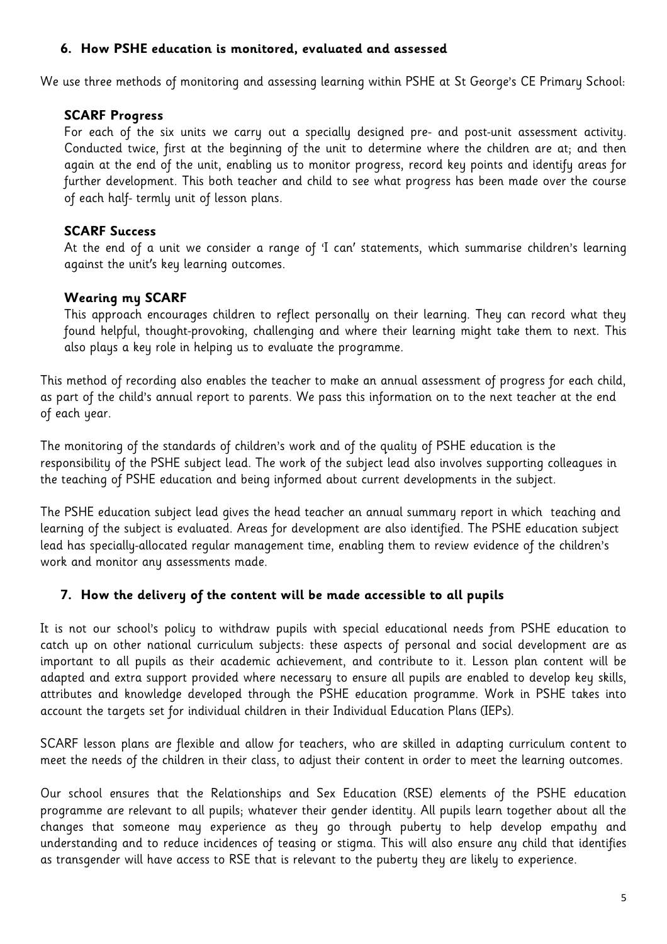#### **6. How PSHE education is monitored, evaluated and assessed**

We use three methods of monitoring and assessing learning within PSHE at St George's CE Primary School:

#### **SCARF Progress**

For each of the six units we carry out a specially designed pre- and post-unit assessment activity. Conducted twice, first at the beginning of the unit to determine where the children are at; and then again at the end of the unit, enabling us to monitor progress, record key points and identify areas for further development. This both teacher and child to see what progress has been made over the course of each half- termly unit of lesson plans.

#### **SCARF Success**

At the end of a unit we consider a range of 'I can' statements, which summarise children's learning against the unit's key learning outcomes.

#### **Wearing my SCARF**

This approach encourages children to reflect personally on their learning. They can record what they found helpful, thought-provoking, challenging and where their learning might take them to next. This also plays a key role in helping us to evaluate the programme.

This method of recording also enables the teacher to make an annual assessment of progress for each child, as part of the child's annual report to parents. We pass this information on to the next teacher at the end of each year.

The monitoring of the standards of children's work and of the quality of PSHE education is the responsibility of the PSHE subject lead. The work of the subject lead also involves supporting colleagues in the teaching of PSHE education and being informed about current developments in the subject.

The PSHE education subject lead gives the head teacher an annual summary report in which teaching and learning of the subject is evaluated. Areas for development are also identified. The PSHE education subject lead has specially-allocated regular management time, enabling them to review evidence of the children's work and monitor any assessments made.

## **7. How the delivery of the content will be made accessible to all pupils**

It is not our school's policy to withdraw pupils with special educational needs from PSHE education to catch up on other national curriculum subjects: these aspects of personal and social development are as important to all pupils as their academic achievement, and contribute to it. Lesson plan content will be adapted and extra support provided where necessary to ensure all pupils are enabled to develop key skills, attributes and knowledge developed through the PSHE education programme. Work in PSHE takes into account the targets set for individual children in their Individual Education Plans (IEPs).

SCARF lesson plans are flexible and allow for teachers, who are skilled in adapting curriculum content to meet the needs of the children in their class, to adjust their content in order to meet the learning outcomes.

Our school ensures that the Relationships and Sex Education (RSE) elements of the PSHE education programme are relevant to all pupils; whatever their gender identity. All pupils learn together about all the changes that someone may experience as they go through puberty to help develop empathy and understanding and to reduce incidences of teasing or stigma. This will also ensure any child that identifies as transgender will have access to RSE that is relevant to the puberty they are likely to experience.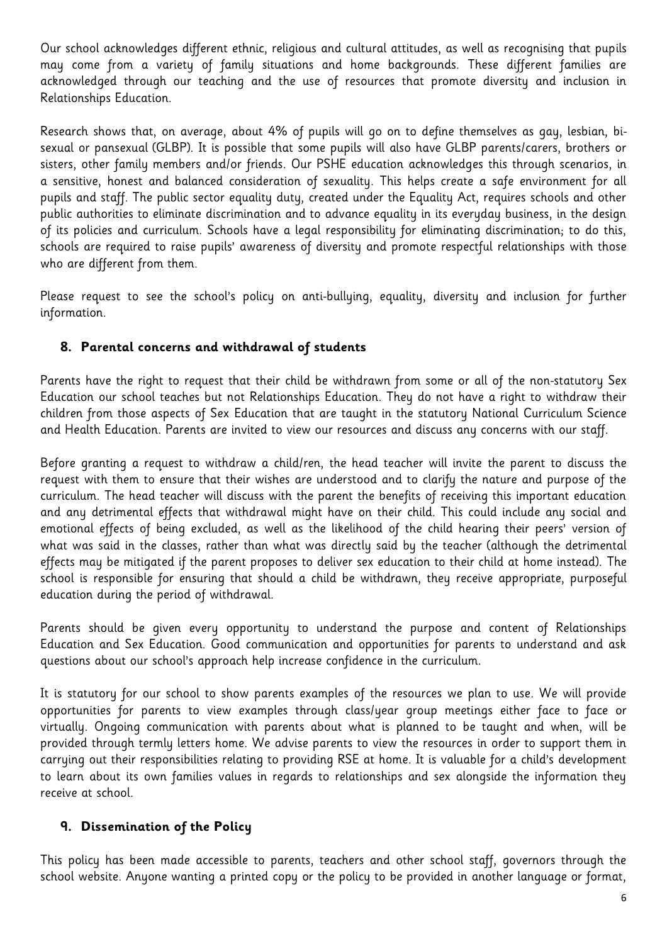Our school acknowledges different ethnic, religious and cultural attitudes, as well as recognising that pupils may come from a variety of family situations and home backgrounds. These different families are acknowledged through our teaching and the use of resources that promote diversity and inclusion in Relationships Education.

Research shows that, on average, about 4% of pupils will go on to define themselves as gay, lesbian, bisexual or pansexual (GLBP). It is possible that some pupils will also have GLBP parents/carers, brothers or sisters, other family members and/or friends. Our PSHE education acknowledges this through scenarios, in a sensitive, honest and balanced consideration of sexuality. This helps create a safe environment for all pupils and staff. The public sector equality duty, created under the Equality Act, requires schools and other public authorities to eliminate discrimination and to advance equality in its everyday business, in the design of its policies and curriculum. Schools have a legal responsibility for eliminating discrimination; to do this, schools are required to raise pupils' awareness of diversity and promote respectful relationships with those who are different from them.

Please request to see the school's policy on anti-bullying, equality, diversity and inclusion for further information.

## **8. Parental concerns and withdrawal of students**

Parents have the right to request that their child be withdrawn from some or all of the non-statutory Sex Education our school teaches but not Relationships Education. They do not have a right to withdraw their children from those aspects of Sex Education that are taught in the statutory National Curriculum Science and Health Education. Parents are invited to view our resources and discuss any concerns with our staff.

Before granting a request to withdraw a child/ren, the head teacher will invite the parent to discuss the request with them to ensure that their wishes are understood and to clarify the nature and purpose of the curriculum. The head teacher will discuss with the parent the benefits of receiving this important education and any detrimental effects that withdrawal might have on their child. This could include any social and emotional effects of being excluded, as well as the likelihood of the child hearing their peers' version of what was said in the classes, rather than what was directly said by the teacher (although the detrimental effects may be mitigated if the parent proposes to deliver sex education to their child at home instead). The school is responsible for ensuring that should a child be withdrawn, they receive appropriate, purposeful education during the period of withdrawal.

Parents should be given every opportunity to understand the purpose and content of Relationships Education and Sex Education. Good communication and opportunities for parents to understand and ask questions about our school's approach help increase confidence in the curriculum.

It is statutory for our school to show parents examples of the resources we plan to use. We will provide opportunities for parents to view examples through class/year group meetings either face to face or virtually. Ongoing communication with parents about what is planned to be taught and when, will be provided through termly letters home. We advise parents to view the resources in order to support them in carrying out their responsibilities relating to providing RSE at home. It is valuable for a child's development to learn about its own families values in regards to relationships and sex alongside the information they receive at school.

## **9. Dissemination of the Policy**

This policy has been made accessible to parents, teachers and other school staff, governors through the school website. Anyone wanting a printed copy or the policy to be provided in another language or format,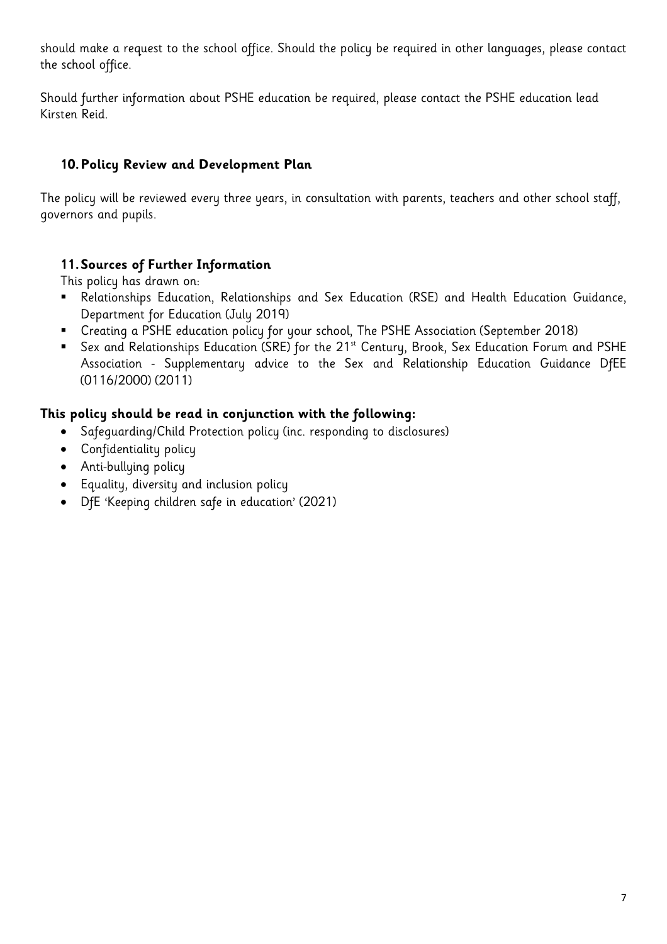should make a request to the school office. Should the policy be required in other languages, please contact the school office.

Should further information about PSHE education be required, please contact the PSHE education lead Kirsten Reid.

# **10.Policy Review and Development Plan**

The policy will be reviewed every three years, in consultation with parents, teachers and other school staff, governors and pupils.

# **11.Sources of Further Information**

This policy has drawn on:

- Relationships Education, Relationships and Sex Education (RSE) and Health Education Guidance, Department for Education (July 2019)
- Creating a PSHE education policy for your school, The PSHE Association (September 2018)
- Sex and Relationships Education (SRE) for the 21<sup>st</sup> Century, Brook, Sex Education Forum and PSHE Association - Supplementary advice to the Sex and Relationship Education Guidance DfEE (0116/2000) (2011)

## **This policy should be read in conjunction with the following:**

- Safeguarding/Child Protection policy (inc. responding to disclosures)
- Confidentiality policy
- Anti-bullying policy
- Equality, diversity and inclusion policy
- DfE 'Keeping children safe in education' (2021)